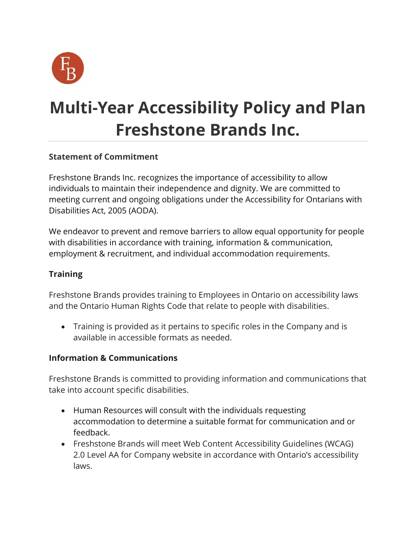

# **Multi-Year Accessibility Policy and Plan Freshstone Brands Inc.**

### **Statement of Commitment**

Freshstone Brands Inc. recognizes the importance of accessibility to allow individuals to maintain their independence and dignity. We are committed to meeting current and ongoing obligations under the Accessibility for Ontarians with Disabilities Act, 2005 (AODA).

We endeavor to prevent and remove barriers to allow equal opportunity for people with disabilities in accordance with training, information & communication, employment & recruitment, and individual accommodation requirements.

## **Training**

Freshstone Brands provides training to Employees in Ontario on accessibility laws and the Ontario Human Rights Code that relate to people with disabilities.

• Training is provided as it pertains to specific roles in the Company and is available in accessible formats as needed.

#### **Information & Communications**

Freshstone Brands is committed to providing information and communications that take into account specific disabilities.

- Human Resources will consult with the individuals requesting accommodation to determine a suitable format for communication and or feedback.
- Freshstone Brands will meet Web Content Accessibility Guidelines (WCAG) 2.0 Level AA for Company website in accordance with Ontario's accessibility laws.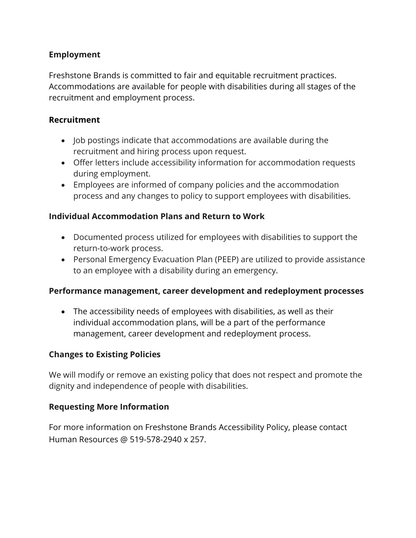#### **Employment**

Freshstone Brands is committed to fair and equitable recruitment practices. Accommodations are available for people with disabilities during all stages of the recruitment and employment process.

#### **Recruitment**

- Job postings indicate that accommodations are available during the recruitment and hiring process upon request.
- Offer letters include accessibility information for accommodation requests during employment.
- Employees are informed of company policies and the accommodation process and any changes to policy to support employees with disabilities.

#### **Individual Accommodation Plans and Return to Work**

- Documented process utilized for employees with disabilities to support the return-to-work process.
- Personal Emergency Evacuation Plan (PEEP) are utilized to provide assistance to an employee with a disability during an emergency.

#### **Performance management, career development and redeployment processes**

• The accessibility needs of employees with disabilities, as well as their individual accommodation plans, will be a part of the performance management, career development and redeployment process.

#### **Changes to Existing Policies**

We will modify or remove an existing policy that does not respect and promote the dignity and independence of people with disabilities.

#### **Requesting More Information**

For more information on Freshstone Brands Accessibility Policy, please contact Human Resources @ 519-578-2940 x 257.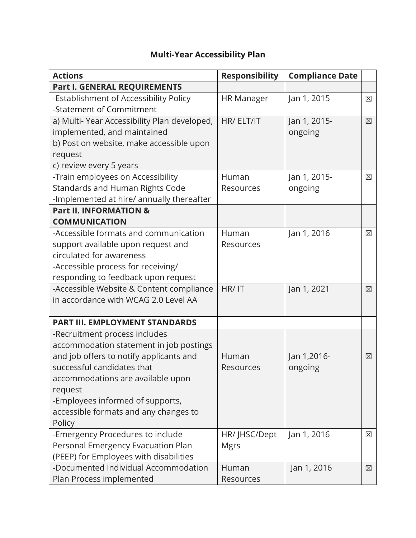# **Multi-Year Accessibility Plan**

| <b>Actions</b>                              | <b>Responsibility</b> | <b>Compliance Date</b> |   |
|---------------------------------------------|-----------------------|------------------------|---|
| Part I. GENERAL REQUIREMENTS                |                       |                        |   |
| -Establishment of Accessibility Policy      | <b>HR Manager</b>     | Jan 1, 2015            | 区 |
| -Statement of Commitment                    |                       |                        |   |
| a) Multi-Year Accessibility Plan developed, | HR/ ELT/IT            | Jan 1, 2015-           | 区 |
| implemented, and maintained                 |                       | ongoing                |   |
| b) Post on website, make accessible upon    |                       |                        |   |
| request                                     |                       |                        |   |
| c) review every 5 years                     |                       |                        |   |
| -Train employees on Accessibility           | Human                 | Jan 1, 2015-           | 区 |
| Standards and Human Rights Code             | Resources             | ongoing                |   |
| -Implemented at hire/ annually thereafter   |                       |                        |   |
| <b>Part II. INFORMATION &amp;</b>           |                       |                        |   |
| <b>COMMUNICATION</b>                        |                       |                        |   |
| -Accessible formats and communication       | Human                 | Jan 1, 2016            | ⊠ |
| support available upon request and          | Resources             |                        |   |
| circulated for awareness                    |                       |                        |   |
| -Accessible process for receiving/          |                       |                        |   |
| responding to feedback upon request         |                       |                        |   |
| -Accessible Website & Content compliance    | HR/IT                 | Jan 1, 2021            | 図 |
| in accordance with WCAG 2.0 Level AA        |                       |                        |   |
|                                             |                       |                        |   |
| <b>PART III. EMPLOYMENT STANDARDS</b>       |                       |                        |   |
| -Recruitment process includes               |                       |                        |   |
| accommodation statement in job postings     |                       |                        |   |
| and job offers to notify applicants and     | Human                 | Jan 1,2016-            | ⊠ |
| successful candidates that                  | Resources             | ongoing                |   |
| accommodations are available upon           |                       |                        |   |
| request                                     |                       |                        |   |
| -Employees informed of supports,            |                       |                        |   |
| accessible formats and any changes to       |                       |                        |   |
| Policy                                      |                       |                        |   |
| -Emergency Procedures to include            | HR/ JHSC/Dept         | Jan 1, 2016            | 区 |
| Personal Emergency Evacuation Plan          | <b>Mgrs</b>           |                        |   |
| (PEEP) for Employees with disabilities      |                       |                        |   |
| -Documented Individual Accommodation        | Human                 | Jan 1, 2016            | 区 |
| Plan Process implemented                    | Resources             |                        |   |